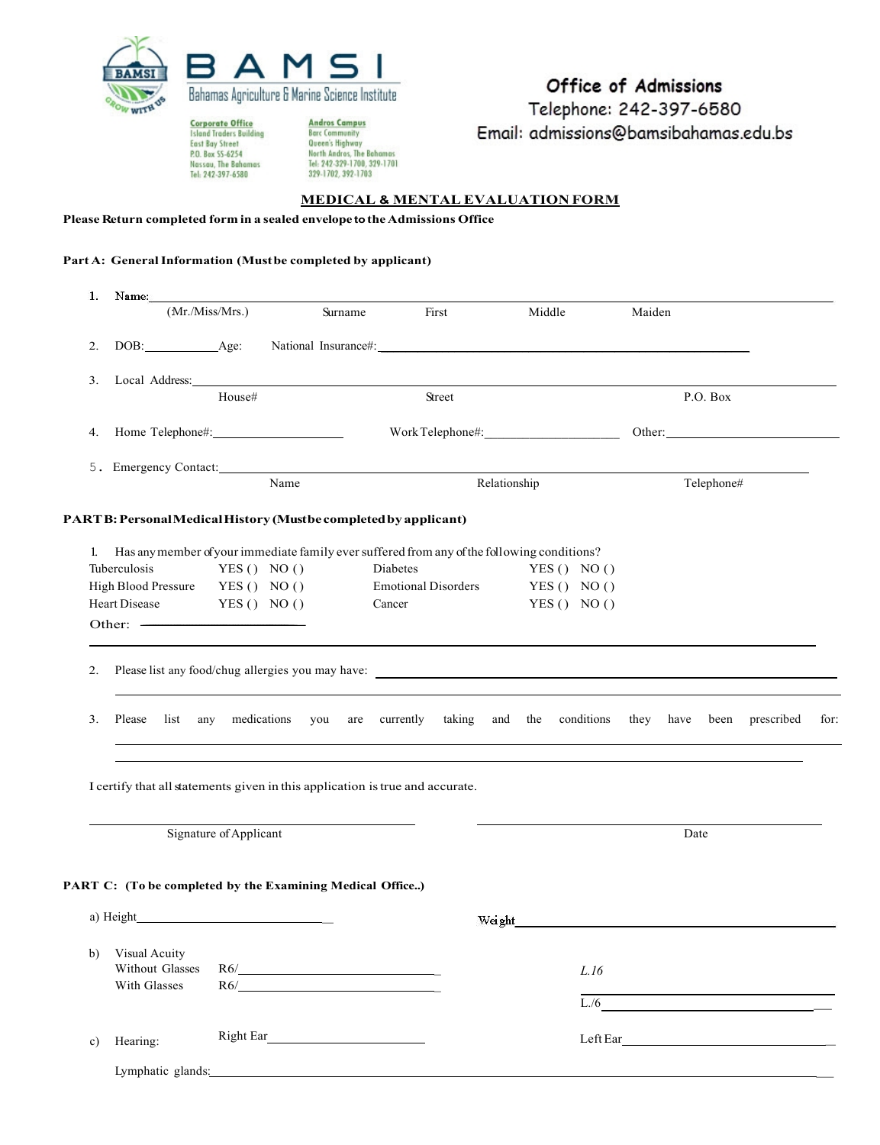

**Corporate Office**<br>Island Traders Building<br>East Bay Street<br>P.O. Box SS-6254<br>Nassau, The Bahamas<br>Tel: 242-397-6580

Andros Campus<br>Barc Community<br>Queen's Highway<br>North Andros, The Bahamas<br>Tel: 242-329-1700, 329-1701<br>329-1702, 392-1703

## Office of Admissions

Telephone: 242-397-6580 Email: admissions@bamsibahamas.edu.bs

## **MEDICAL & MENTAL EVALUATION FORM**

**Please Return completed form in a sealedenvelope tothe Admissions Office**

## **Part A: GeneralInformation (Mustbe completed by applicant)**

| 1.            | Name:                                                     |                        |                                                            |                                                                                                |                            |                                                                                                 |  |
|---------------|-----------------------------------------------------------|------------------------|------------------------------------------------------------|------------------------------------------------------------------------------------------------|----------------------------|-------------------------------------------------------------------------------------------------|--|
|               |                                                           | (Mr/Miss/Mrs.)         | Surname                                                    | First                                                                                          | Middle                     | Maiden                                                                                          |  |
| 2.            | DOB: Age:                                                 |                        |                                                            |                                                                                                |                            |                                                                                                 |  |
| 3.            |                                                           |                        |                                                            |                                                                                                |                            |                                                                                                 |  |
|               |                                                           | House#                 |                                                            | Street                                                                                         |                            | P.O. Box                                                                                        |  |
|               |                                                           |                        |                                                            |                                                                                                |                            |                                                                                                 |  |
|               |                                                           |                        |                                                            |                                                                                                |                            |                                                                                                 |  |
|               |                                                           |                        | Name                                                       |                                                                                                | Relationship               | Telephone#                                                                                      |  |
|               |                                                           |                        |                                                            | PART B: Personal Medical History (Mustbe completed by applicant)                               |                            |                                                                                                 |  |
|               |                                                           |                        |                                                            | 1. Has any member of your immediate family ever suffered from any of the following conditions? |                            |                                                                                                 |  |
|               | Tuberculosis                                              | YES() NO()             |                                                            | Diabetes                                                                                       | YES() NO()                 |                                                                                                 |  |
|               | High Blood Pressure YES () NO ()<br>Heart Disease         | YES() NO()             |                                                            | <b>Emotional Disorders</b><br>Cancer                                                           | YES () NO ()<br>YES() NO() |                                                                                                 |  |
|               |                                                           |                        |                                                            |                                                                                                |                            |                                                                                                 |  |
|               |                                                           |                        |                                                            |                                                                                                |                            |                                                                                                 |  |
| 3.            | Please                                                    |                        |                                                            |                                                                                                |                            | list any medications you are currently taking and the conditions they have been prescribed for: |  |
|               |                                                           |                        |                                                            | I certify that all statements given in this application is true and accurate.                  |                            |                                                                                                 |  |
|               |                                                           | Signature of Applicant |                                                            |                                                                                                |                            | Date                                                                                            |  |
|               |                                                           |                        |                                                            |                                                                                                |                            |                                                                                                 |  |
|               | PART C: (To be completed by the Examining Medical Office) |                        |                                                            |                                                                                                |                            |                                                                                                 |  |
|               | a) Height                                                 |                        |                                                            |                                                                                                | Weight                     |                                                                                                 |  |
| b)            | Visual Acuity<br>Without Glasses<br>With Glasses          |                        | $R6/\underbrace{\qquad \qquad }_{\qquad \qquad }$<br>$R6/$ |                                                                                                | L.16                       |                                                                                                 |  |
|               |                                                           |                        |                                                            |                                                                                                | L/6                        | <u> 1989 - Johann Stein, fransk kampens</u>                                                     |  |
| $\mathbf{c})$ | Hearing:                                                  |                        |                                                            |                                                                                                |                            |                                                                                                 |  |
|               | Lymphatic glands:                                         |                        |                                                            |                                                                                                |                            |                                                                                                 |  |
|               |                                                           |                        |                                                            |                                                                                                |                            |                                                                                                 |  |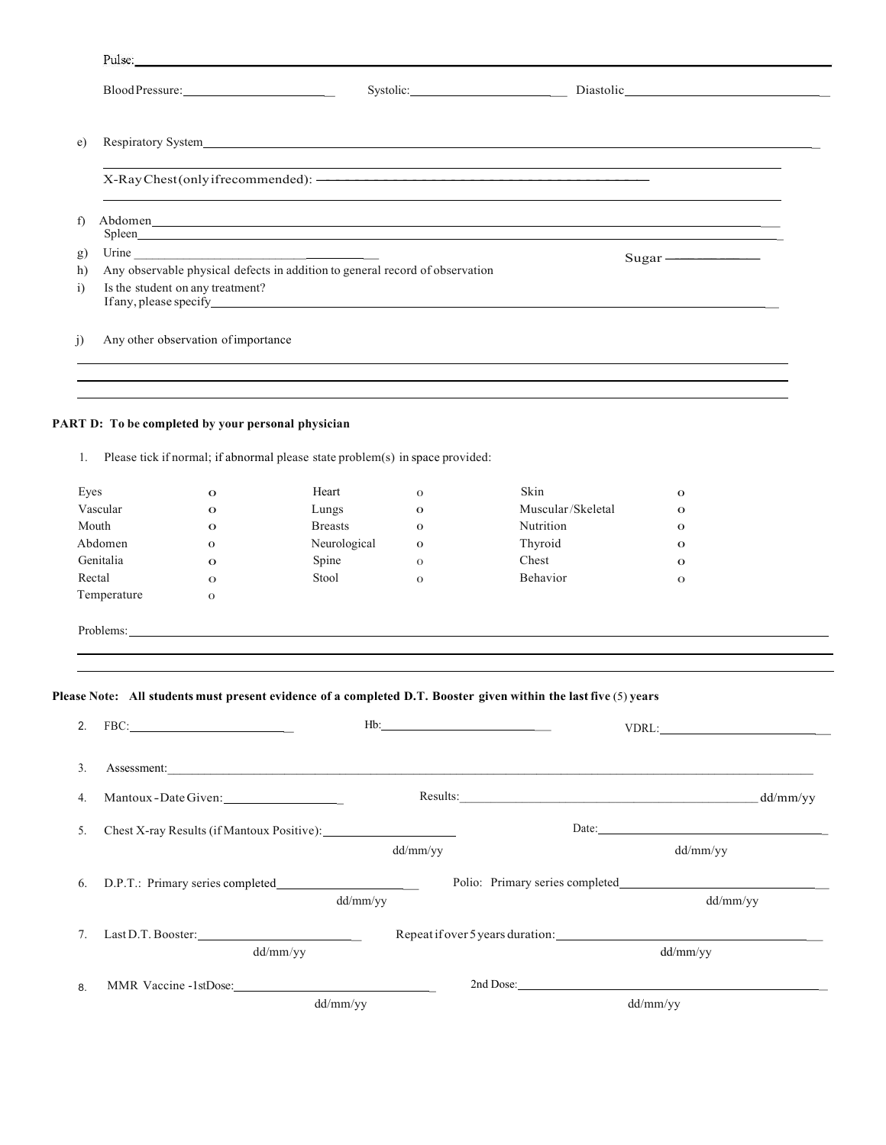|                | Pulse:      |                                                                                                                                                                                                                                | and the state of the state of the state of the state of the state of the state of the state of the state of the |                              |                                                                                                                                                                                                                                |                              |  |  |  |
|----------------|-------------|--------------------------------------------------------------------------------------------------------------------------------------------------------------------------------------------------------------------------------|-----------------------------------------------------------------------------------------------------------------|------------------------------|--------------------------------------------------------------------------------------------------------------------------------------------------------------------------------------------------------------------------------|------------------------------|--|--|--|
|                |             |                                                                                                                                                                                                                                |                                                                                                                 |                              |                                                                                                                                                                                                                                |                              |  |  |  |
|                |             |                                                                                                                                                                                                                                |                                                                                                                 |                              |                                                                                                                                                                                                                                |                              |  |  |  |
|                |             |                                                                                                                                                                                                                                |                                                                                                                 |                              | X-Ray Chest (only if recommended): <a>&gt;<br/>,我们也不会有什么。""我们的人,我们也不会有什么?""我们的人,我们也不会有什么?""我们的人,我们也不会有什么?""我们的人,我们也不会有什么?""我们的人</a>                                                                                            |                              |  |  |  |
| f)             |             |                                                                                                                                                                                                                                |                                                                                                                 |                              | Abdomen and the contract of the contract of the contract of the contract of the contract of the contract of the contract of the contract of the contract of the contract of the contract of the contract of the contract of th |                              |  |  |  |
|                |             | Spleen and the state of the state of the state of the state of the state of the state of the state of the state of the state of the state of the state of the state of the state of the state of the state of the state of the |                                                                                                                 |                              |                                                                                                                                                                                                                                |                              |  |  |  |
| g)<br>h)       |             |                                                                                                                                                                                                                                |                                                                                                                 |                              |                                                                                                                                                                                                                                |                              |  |  |  |
| $\overline{1}$ |             | Any observable physical defects in addition to general record of observation<br>Is the student on any treatment?<br>If any, please specify $\overline{\phantom{a}}$                                                            |                                                                                                                 |                              |                                                                                                                                                                                                                                |                              |  |  |  |
| $\overline{1}$ |             | Any other observation of importance                                                                                                                                                                                            |                                                                                                                 |                              | ,我们也不会有什么。""我们的人,我们也不会有什么?""我们的人,我们也不会有什么?""我们的人,我们也不会有什么?""我们的人,我们也不会有什么?""我们的人                                                                                                                                               |                              |  |  |  |
| 1.             |             | PART D: To be completed by your personal physician                                                                                                                                                                             | Please tick if normal; if abnormal please state problem(s) in space provided:<br>Heart                          |                              | Skin                                                                                                                                                                                                                           |                              |  |  |  |
| Eyes           | Vascular    | $\mathbf{o}$<br>$\mathbf{o}$                                                                                                                                                                                                   | Lungs                                                                                                           | $\mathbf{O}$<br>$\mathbf{o}$ | Muscular/Skeletal                                                                                                                                                                                                              | $\mathbf{o}$<br>$\mathbf{o}$ |  |  |  |
|                | Mouth       | $\mathbf{o}$                                                                                                                                                                                                                   | <b>Breasts</b>                                                                                                  | $\mathbf{o}$                 | Nutrition                                                                                                                                                                                                                      | $\mathbf{o}$                 |  |  |  |
|                | Abdomen     | $\mathbf{o}$                                                                                                                                                                                                                   | Neurological                                                                                                    | $\mathbf{o}$                 | Thyroid                                                                                                                                                                                                                        | $\mathbf{o}$                 |  |  |  |
|                | Genitalia   | $\mathbf{o}$                                                                                                                                                                                                                   | Spine                                                                                                           | $\Omega$                     | Chest                                                                                                                                                                                                                          | $\mathbf{o}$                 |  |  |  |
| Rectal         |             | $\mathbf{o}$                                                                                                                                                                                                                   | Stool                                                                                                           | $\Omega$                     | Behavior                                                                                                                                                                                                                       | $\mathbf{o}$                 |  |  |  |
|                | Temperature | $\mathbf 0$                                                                                                                                                                                                                    |                                                                                                                 |                              |                                                                                                                                                                                                                                |                              |  |  |  |
|                |             |                                                                                                                                                                                                                                |                                                                                                                 |                              | Problems:                                                                                                                                                                                                                      |                              |  |  |  |
|                |             |                                                                                                                                                                                                                                |                                                                                                                 |                              |                                                                                                                                                                                                                                |                              |  |  |  |
| 2.             |             |                                                                                                                                                                                                                                |                                                                                                                 |                              | Please Note: All students must present evidence of a completed D.T. Booster given within the last five (5) years                                                                                                               |                              |  |  |  |
| 3.             |             |                                                                                                                                                                                                                                |                                                                                                                 |                              | Assessment:                                                                                                                                                                                                                    |                              |  |  |  |
| 4.             |             | Mantoux-Date Given:                                                                                                                                                                                                            |                                                                                                                 |                              |                                                                                                                                                                                                                                |                              |  |  |  |
| 5.             |             |                                                                                                                                                                                                                                |                                                                                                                 |                              |                                                                                                                                                                                                                                |                              |  |  |  |
|                |             |                                                                                                                                                                                                                                |                                                                                                                 | dd/mm/yy                     |                                                                                                                                                                                                                                | dd/mm/yy                     |  |  |  |
| 6.             |             |                                                                                                                                                                                                                                | dd/mm/yy                                                                                                        |                              |                                                                                                                                                                                                                                | dd/mm/yy                     |  |  |  |
| 7.             |             |                                                                                                                                                                                                                                | Last D.T. Booster:                                                                                              |                              |                                                                                                                                                                                                                                |                              |  |  |  |
|                |             |                                                                                                                                                                                                                                | dd/mm/yy                                                                                                        |                              |                                                                                                                                                                                                                                | dd/mm/yy                     |  |  |  |
|                |             |                                                                                                                                                                                                                                |                                                                                                                 |                              |                                                                                                                                                                                                                                |                              |  |  |  |
| 8.             |             |                                                                                                                                                                                                                                | dd/mm/yy                                                                                                        |                              |                                                                                                                                                                                                                                | dd/mm/yy                     |  |  |  |
|                |             |                                                                                                                                                                                                                                |                                                                                                                 |                              |                                                                                                                                                                                                                                |                              |  |  |  |